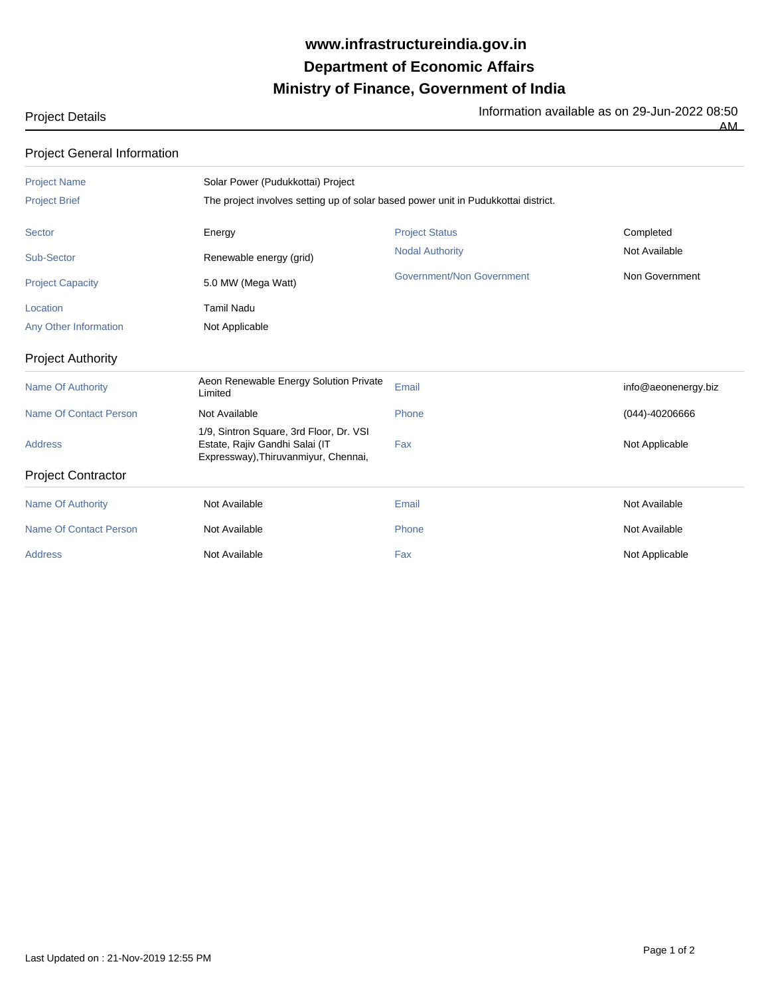## **Ministry of Finance, Government of India Department of Economic Affairs www.infrastructureindia.gov.in**

Project Details **Information available as on 29-Jun-2022 08:50** 

 $\overline{AM}$ 

| <b>Project General Information</b> |  |
|------------------------------------|--|
|------------------------------------|--|

| <b>Project Name</b>           | Solar Power (Pudukkottai) Project                                                                                 |                                                                                    |                     |  |  |
|-------------------------------|-------------------------------------------------------------------------------------------------------------------|------------------------------------------------------------------------------------|---------------------|--|--|
| <b>Project Brief</b>          |                                                                                                                   | The project involves setting up of solar based power unit in Pudukkottai district. |                     |  |  |
| Sector                        | Energy                                                                                                            | <b>Project Status</b>                                                              | Completed           |  |  |
| Sub-Sector                    | Renewable energy (grid)                                                                                           | <b>Nodal Authority</b>                                                             | Not Available       |  |  |
| <b>Project Capacity</b>       | 5.0 MW (Mega Watt)                                                                                                | <b>Government/Non Government</b>                                                   | Non Government      |  |  |
| Location                      | <b>Tamil Nadu</b>                                                                                                 |                                                                                    |                     |  |  |
| Any Other Information         | Not Applicable                                                                                                    |                                                                                    |                     |  |  |
| <b>Project Authority</b>      |                                                                                                                   |                                                                                    |                     |  |  |
| <b>Name Of Authority</b>      | Aeon Renewable Energy Solution Private<br>Limited                                                                 | Email                                                                              | info@aeonenergy.biz |  |  |
| <b>Name Of Contact Person</b> | Not Available                                                                                                     | Phone                                                                              | $(044) - 40206666$  |  |  |
| <b>Address</b>                | 1/9, Sintron Square, 3rd Floor, Dr. VSI<br>Estate, Rajiv Gandhi Salai (IT<br>Expressway), Thiruvanmiyur, Chennai, | Fax                                                                                | Not Applicable      |  |  |
| <b>Project Contractor</b>     |                                                                                                                   |                                                                                    |                     |  |  |
| <b>Name Of Authority</b>      | Not Available                                                                                                     | Email                                                                              | Not Available       |  |  |
| Name Of Contact Person        | Not Available                                                                                                     | Phone                                                                              | Not Available       |  |  |
| <b>Address</b>                | Not Available                                                                                                     | Fax                                                                                | Not Applicable      |  |  |
|                               |                                                                                                                   |                                                                                    |                     |  |  |